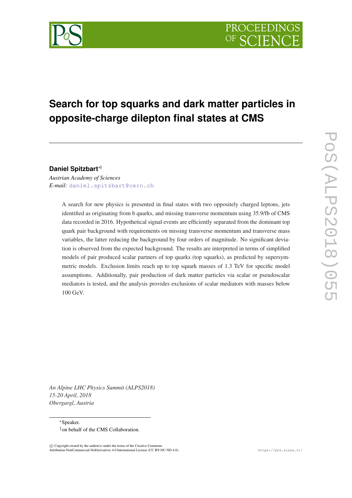# **Search for top squarks and dark matter particles in opposite-charge dilepton final states at CMS**

**Daniel Spitzbart**∗†

*Austrian Academy of Sciences E-mail:* [daniel.spitzbart@cern.ch](mailto:daniel.spitzbart@cern.ch)

> A search for new physics is presented in final states with two oppositely charged leptons, jets identified as originating from b quarks, and missing transverse momentum using 35.9/fb of CMS data recorded in 2016. Hypothetical signal events are efficiently separated from the dominant top quark pair background with requirements on missing transverse momentum and transverse mass variables, the latter reducing the background by four orders of magnitude. No significant deviation is observed from the expected background. The results are interpreted in terms of simplified models of pair produced scalar partners of top quarks (top squarks), as predicted by supersymmetric models. Exclusion limits reach up to top squark masses of 1.3 TeV for specific model assumptions. Additionally, pair production of dark matter particles via scalar or pseudoscalar mediators is tested, and the analysis provides exclusions of scalar mediators with masses below 100 GeV.

*An Alpine LHC Physics Summit (ALPS2018) 15-20 April, 2018 Obergurgl, Austria*

> <sup>∗</sup>Speaker. †on behalf of the CMS Collaboration.

 $\overline{c}$  Copyright owned by the author(s) under the terms of the Creative Common Attribution-NonCommercial-NoDerivatives 4.0 International License (CC BY-NC-ND 4.0). https://pos.sissa.it/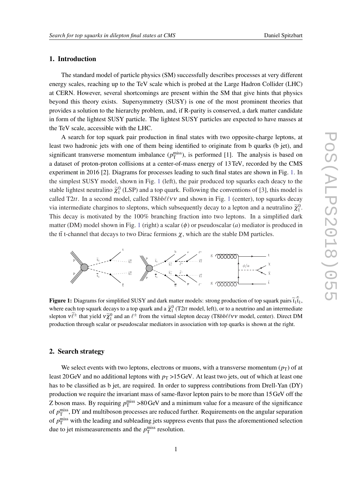## 1. Introduction

The standard model of particle physics (SM) successfully describes processes at very different energy scales, reaching up to the TeV scale which is probed at the Large Hadron Collider (LHC) at CERN. However, several shortcomings are present within the SM that give hints that physics beyond this theory exists. Supersymmetry (SUSY) is one of the most prominent theories that provides a solution to the hierarchy problem, and, if R-parity is conserved, a dark matter candidate in form of the lightest SUSY particle. The lightest SUSY particles are expected to have masses at the TeV scale, accessible with the LHC.

A search for top squark pair production in final states with two opposite-charge leptons, at least two hadronic jets with one of them being identified to originate from b quarks (b jet), and significant transverse momentum imbalance  $(p_T^{\text{miss}})$ , is performed [1]. The analysis is based on a dataset of proton-proton collisions at a center-of-mass energy of 13TeV, recorded by the CMS experiment in 2016 [2]. Diagrams for processes leading to such final states are shown in Fig. 1. In the simplest SUSY model, shown in Fig. 1 (left), the pair produced top squarks each deacy to the stable lightest neutralino  $\tilde{\chi}_1^0$  (LSP) and a top quark. Following the conventions of [3], this model is called T2*tt*. In a second model, called T8*bb* $\ell \ell v$  and shown in Fig. 1 (center), top squarks decay via intermediate charginos to sleptons, which subsequently decay to a lepton and a neutralino  $\tilde{\chi}_1^0$ . This decay is motivated by the 100% branching fraction into two leptons. In a simplified dark matter (DM) model shown in Fig. 1 (right) a scalar (φ) or pseudoscalar (*a*) mediator is produced in the tte turn that decays to two Dirac fermions  $\chi$ , which are the stable DM particles.



Figure 1: Diagrams for simplified SUSY and dark matter models: strong production of top squark pairs  $t_1 t_1$ , where each top squark decays to a top quark and a  $\tilde{\chi}^0$  (T2*tt* model, left), or to a neutrino and an intermediate slepton  $v\tilde{\ell}^{\pm}$  that yield  $v\tilde{\chi}_{1}^{0}$  and an  $\ell^{\pm}$  from the virtual slepton decay (T8*bb* $\ell$ VV model, center). Direct DM production through scalar or pseudoscalar mediators in association with top quarks is shown at the right.

# 2. Search strategy

We select events with two leptons, electrons or muons, with a transverse momentum  $(p_T)$  of at least 20 GeV and no additional leptons with  $p<sub>T</sub> > 15$  GeV. At least two jets, out of which at least one has to be classified as b jet, are required. In order to suppress contributions from Drell-Yan (DY) production we require the invariant mass of same-flavor lepton pairs to be more than 15GeV off the Z boson mass. By requiring  $p_T^{\text{miss}} > 80 \,\text{GeV}$  and a minimum value for a measure of the significance of  $p_T^{\text{miss}}$ , DY and multiboson processes are reduced further. Requirements on the angular separation of  $p_T^{\text{miss}}$  with the leading and subleading jets suppress events that pass the aforementioned selection due to jet mismeasurements and the  $p_T^{\text{miss}}$  resolution.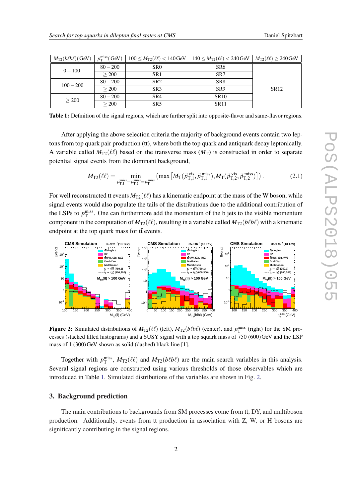| $M_{\text{T2}}(b\ell b\ell)$ (GeV) | $p_T^{\text{miss}}$ (GeV) | $100 \leq M_{\rm T2}(\ell\ell) < 140 \,\mathrm{GeV}$ | $140 \leq M_{\text{T2}}(\ell \ell) < 240 \,\text{GeV}$ | $M_{\text{T2}}(\ell\ell) \geq 240 \,\text{GeV}$ |
|------------------------------------|---------------------------|------------------------------------------------------|--------------------------------------------------------|-------------------------------------------------|
| $0 - 100$                          | $80 - 200$                | SR <sub>0</sub>                                      | SR <sub>6</sub>                                        |                                                 |
|                                    | > 200                     | SR <sub>1</sub>                                      | SR7                                                    |                                                 |
| $100 - 200$                        | $80 - 200$                | SR <sub>2</sub>                                      | SR <sub>8</sub>                                        |                                                 |
|                                    | > 200                     | SR <sub>3</sub>                                      | SR <sub>9</sub>                                        | SR <sub>12</sub>                                |
| > 200                              | $80 - 200$                | SR4                                                  | <b>SR10</b>                                            |                                                 |
|                                    | > 200                     | SR <sub>5</sub>                                      | <b>SR11</b>                                            |                                                 |

Table 1: Definition of the signal regions, which are further split into opposite-flavor and same-flavor regions.

After applying the above selection criteria the majority of background events contain two leptons from top quark pair production  $(t\bar{t})$ , where both the top quark and antiquark decay leptonically. A variable called  $M_{T2}(\ell\ell)$  based on the transverse mass  $(M_T)$  is constructed in order to separate potential signal events from the dominant background,

$$
M_{\text{T2}}(\ell\ell) = \min_{\vec{p}_{\text{T},1}^{\text{miss}} + \vec{p}_{\text{T},2}^{\text{miss}} = \vec{p}_{\text{T}}^{\text{miss}}} \left( \max \left[ M_{\text{T}}(\vec{p}_{\text{T},1}^{\text{vis}}, \vec{p}_{\text{T},1}^{\text{miss}}), M_{\text{T}}(\vec{p}_{\text{T},2}^{\text{vis}}, \vec{p}_{\text{T},2}^{\text{miss}}) \right] \right). \tag{2.1}
$$

For well reconstructed tt events  $M_{T2}(\ell\ell)$  has a kinematic endpoint at the mass of the W boson, while signal events would also populate the tails of the distributions due to the additional contribution of the LSPs to  $p_T^{\text{miss}}$ . One can furthermore add the momentum of the b jets to the visible momentum component in the computation of  $M_{T2}(\ell\ell)$ , resulting in a variable called  $M_{T2}(b\ell b\ell)$  with a kinematic endpoint at the top quark mass for  $t\bar{t}$  events.



Figure 2: Simulated distributions of  $M_{T2}(\ell\ell)$  (left),  $M_{T2}(b\ell b\ell)$  (center), and  $p_T^{\text{miss}}$  (right) for the SM processes (stacked filled histograms) and a SUSY signal with a top squark mass of 750 (600)GeV and the LSP mass of 1 (300)GeV shown as solid (dashed) black line [1].

Together with  $p_T^{\text{miss}}$ ,  $M_{\text{T2}}(\ell\ell)$  and  $M_{\text{T2}}(b\ell b\ell)$  are the main search variables in this analysis. Several signal regions are constructed using various thresholds of those observables which are introduced in Table 1. Simulated distributions of the variables are shown in Fig. 2.

### 3. Background prediction

The main contributions to backgrounds from SM processes come from tt, DY, and multiboson production. Additionally, events from tt production in association with Z, W, or H bosons are significantly contributing in the signal regions.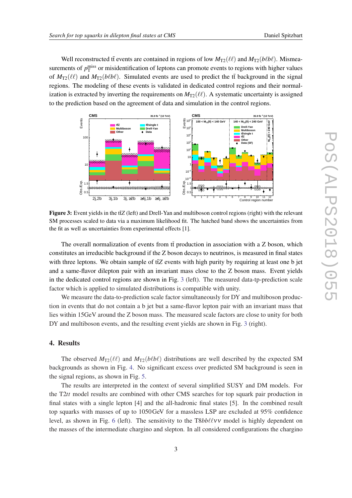Well reconstructed tt events are contained in regions of low  $M_{T2}(\ell\ell)$  and  $M_{T2}(b\ell b\ell)$ . Mismeasurements of  $p_T^{\text{miss}}$  or misidentification of leptons can promote events to regions with higher values of  $M_{T2}(\ell\ell)$  and  $M_{T2}(b\ell b\ell)$ . Simulated events are used to predict the tt background in the signal regions. The modeling of these events is validated in dedicated control regions and their normalization is extracted by inverting the requirements on  $M_{T2}(\ell\ell)$ . A systematic uncertainty is assigned to the prediction based on the agreement of data and simulation in the control regions.



Figure 3: Event yields in the tt $\bar{z}$  (left) and Drell-Yan and multiboson control regions (right) with the relevant SM processes scaled to data via a maximum likelihood fit. The hatched band shows the uncertainties from the fit as well as uncertainties from experimental effects [1].

The overall normalization of events from  $t\bar{t}$  production in association with a Z boson, which constitutes an irreducible background if the Z boson decays to neutrinos, is measured in final states with three leptons. We obtain sample of tta events with high purity by requiring at least one b jet and a same-flavor dilepton pair with an invariant mass close to the Z boson mass. Event yields in the dedicated control regions are shown in Fig. 3 (left). The measured data-tp-prediction scale factor which is applied to simulated distributions is compatible with unity.

We measure the data-to-prediction scale factor simultaneously for DY and multiboson production in events that do not contain a b jet but a same-flavor lepton pair with an invariant mass that lies within 15GeV around the Z boson mass. The measured scale factors are close to unity for both DY and multiboson events, and the resulting event yields are shown in Fig. 3 (right).

### 4. Results

The observed  $M_{\text{T2}}(\ell\ell)$  and  $M_{\text{T2}}(b\ell b\ell)$  distributions are well described by the expected SM backgrounds as shown in Fig. [4](#page-4-0). No significant excess over predicted SM background is seen in the signal regions, as shown in Fig. [5](#page-4-0).

The results are interpreted in the context of several simplified SUSY and DM models. For the T2*tt* model results are combined with other CMS searches for top squark pair production in final states with a single lepton [4] and the all-hadronic final states [5]. In the combined result top squarks with masses of up to 1050GeV for a massless LSP are excluded at 95% confidence level, as shown in Fig. [6](#page-5-0) (left). The sensitivity to the  $T8bb\ell\ell v\mathbf{v}$  model is highly dependent on the masses of the intermediate chargino and slepton. In all considered configurations the chargino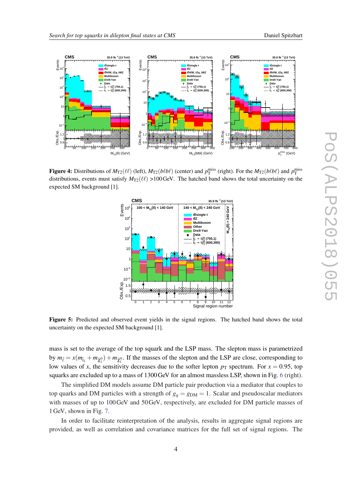<span id="page-4-0"></span>

Figure 4: Distributions of  $M_{T2}(\ell\ell)$  (left),  $M_{T2}(b\ell b\ell)$  (center) and  $p_T^{\text{miss}}$  (right). For the  $M_{T2}(b\ell b\ell)$  and  $p_T^{\text{miss}}$ distributions, events must satisfy  $M_{T2}(\ell\ell) > 100 \,\text{GeV}$ . The hatched band shows the total uncertainty on the expected SM background [1].



Figure 5: Predicted and observed event yields in the signal regions. The hatched band shows the total uncertainty on the expected SM background [1].

mass is set to the average of the top squark and the LSP mass. The slepton mass is parametrized by  $m_{\tilde{\ell}} = x(m_{\tilde{t}_1} + m_{\tilde{\chi}_1^0}) + m_{\tilde{\chi}_1^0}$ . If the masses of the slepton and the LSP are close, corresponding to low values of *x*, the sensitivity decreases due to the softer lepton  $p<sub>T</sub>$  spectrum. For  $x = 0.95$ , top squarks are excluded up to a mass of 1300GeV for an almost massless LSP, shown in Fig. [6](#page-5-0) (right).

The simplified DM models assume DM particle pair production via a mediator that couples to top quarks and DM particles with a strength of  $g_q = g_{DM} = 1$ . Scalar and pseudoscalar mediators with masses of up to 100GeV and 50GeV, respectively, are excluded for DM particle masses of 1GeV, shown in Fig. [7.](#page-5-0)

In order to facilitate reinterpretation of the analysis, results in aggregate signal regions are provided, as well as correlation and covariance matrices for the full set of signal regions. The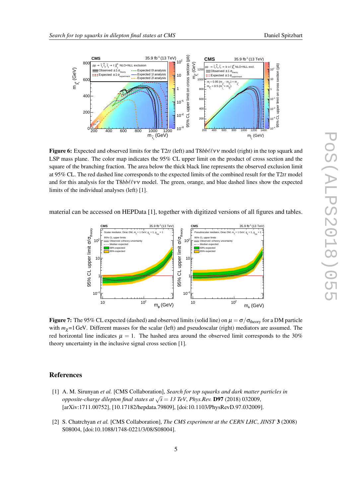<span id="page-5-0"></span>

**Figure 6:** Expected and observed limits for the T2tt (left) and T8bb $\ell$ V model (right) in the top squark and LSP mass plane. The color map indicates the 95% CL upper limit on the product of cross section and the square of the branching fraction. The area below the thick black line represents the observed exclusion limit at 95% CL. The red dashed line corresponds to the expected limits of the combined result for the T2*tt* model and for this analysis for the T8*bbl* $\ell$ v model. The green, orange, and blue dashed lines show the expected limits of the individual analyses (left) [1].

material can be accessed on HEPData [1], together with digitized versions of all figures and tables.



Figure 7: The 95% CL expected (dashed) and observed limits (solid line) on  $\mu = \sigma/\sigma_{\text{theory}}$  for a DM particle with  $m<sub>Y</sub>=1$  GeV. Different masses for the scalar (left) and pseudoscalar (right) mediators are assumed. The red horizontal line indicates  $\mu = 1$ . The hashed area around the observed limit corresponds to the 30% theory uncertainty in the inclusive signal cross section [1].

# **References**

- [1] A. M. Sirunyan *et al.* [CMS Collaboration], *Search for top squarks and dark matter particles in opposite-charge dilepton final states at* <sup>√</sup> *s* = *13 TeV*, *Phys.Rev.* D97 (2018) 032009, [arXiv:1711.00752], [10.17182/hepdata.79809], [doi:10.1103/PhysRevD.97.032009].
- [2] S. Chatrchyan *et al.* [CMS Collaboration], *The CMS experiment at the CERN LHC*, *JINST* 3 (2008) S08004, [doi:10.1088/1748-0221/3/08/S08004].